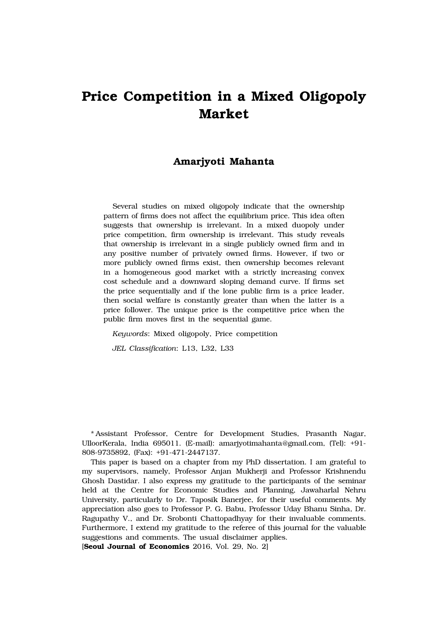# **Price Competition in a Mixed Oligopoly Market**

## **Amarjyoti Mahanta**

Several studies on mixed oligopoly indicate that the ownership pattern of firms does not affect the equilibrium price. This idea often suggests that ownership is irrelevant. In a mixed duopoly under price competition, firm ownership is irrelevant. This study reveals that ownership is irrelevant in a single publicly owned firm and in any positive number of privately owned firms. However, if two or more publicly owned firms exist, then ownership becomes relevant in a homogeneous good market with a strictly increasing convex cost schedule and a downward sloping demand curve. If firms set the price sequentially and if the lone public firm is a price leader, then social welfare is constantly greater than when the latter is a price follower. The unique price is the competitive price when the public firm moves first in the sequential game.

*Keywords*: Mixed oligopoly, Price competition

*JEL Classification*: L13, L32, L33

\* Assistant Professor, Centre for Development Studies, Prasanth Nagar, UlloorKerala, India 695011. (E-mail): amarjyotimahanta@gmail.com, (Tel): +91- 808-9735892, (Fax): +91-471-2447137.

This paper is based on a chapter from my PhD dissertation. I am grateful to my supervisors, namely, Professor Anjan Mukherji and Professor Krishnendu Ghosh Dastidar. I also express my gratitude to the participants of the seminar held at the Centre for Economic Studies and Planning, Jawaharlal Nehru University, particularly to Dr. Taposik Banerjee, for their useful comments. My appreciation also goes to Professor P. G. Babu, Professor Uday Bhanu Sinha, Dr. Ragupathy V., and Dr. Srobonti Chattopadhyay for their invaluable comments. Furthermore, I extend my gratitude to the referee of this journal for the valuable suggestions and comments. The usual disclaimer applies.

[**Seoul Journal of Economics** 2016, Vol. 29, No. 2]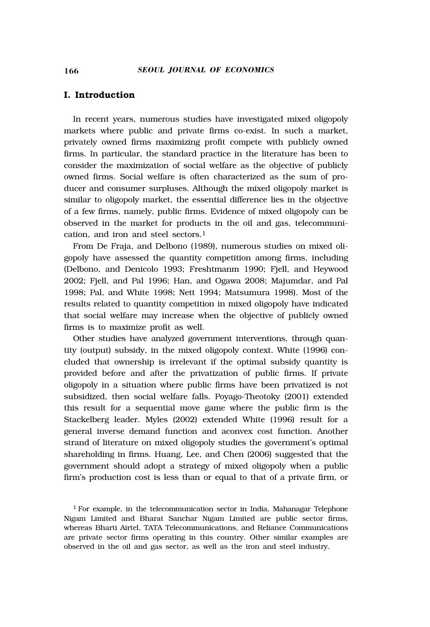## **I. Introduction**

In recent years, numerous studies have investigated mixed oligopoly markets where public and private firms co-exist. In such a market, privately owned firms maximizing profit compete with publicly owned firms. In particular, the standard practice in the literature has been to consider the maximization of social welfare as the objective of publicly owned firms. Social welfare is often characterized as the sum of producer and consumer surpluses. Although the mixed oligopoly market is similar to oligopoly market, the essential difference lies in the objective of a few firms, namely, public firms. Evidence of mixed oligopoly can be observed in the market for products in the oil and gas, telecommunication, and iron and steel sectors.1

From De Fraja, and Delbono (1989), numerous studies on mixed oligopoly have assessed the quantity competition among firms, including (Delbono, and Denicolo 1993; Freshtmanm 1990; Fjell, and Heywood 2002; Fjell, and Pal 1996; Han, and Ogawa 2008; Majumdar, and Pal 1998; Pal, and White 1998; Nett 1994; Matsumura 1998). Most of the results related to quantity competition in mixed oligopoly have indicated that social welfare may increase when the objective of publicly owned firms is to maximize profit as well.

Other studies have analyzed government interventions, through quantity (output) subsidy, in the mixed oligopoly context. White (1996) concluded that ownership is irrelevant if the optimal subsidy quantity is provided before and after the privatization of public firms. If private oligopoly in a situation where public firms have been privatized is not subsidized, then social welfare falls. Poyago-Theotoky (2001) extended this result for a sequential move game where the public firm is the Stackelberg leader. Myles (2002) extended White (1996) result for a general inverse demand function and aconvex cost function. Another strand of literature on mixed oligopoly studies the government's optimal shareholding in firms. Huang, Lee, and Chen (2006) suggested that the government should adopt a strategy of mixed oligopoly when a public firm's production cost is less than or equal to that of a private firm, or

<sup>1</sup> For example, in the telecommunication sector in India, Mahanagar Telephone Nigam Limited and Bharat Sanchar Nigam Limited are public sector firms, whereas Bharti Airtel, TATA Telecommunications, and Reliance Communications are private sector firms operating in this country. Other similar examples are observed in the oil and gas sector, as well as the iron and steel industry.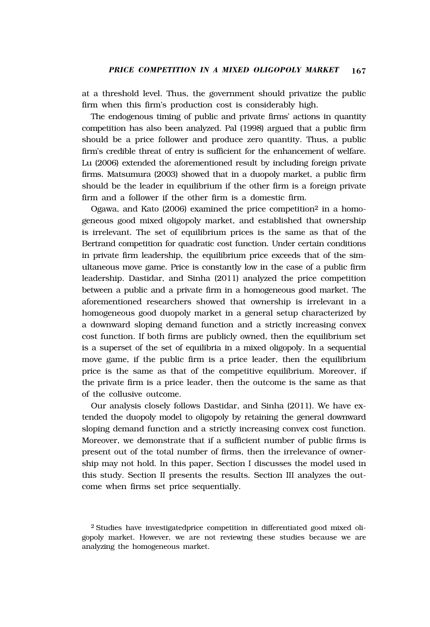at a threshold level. Thus, the government should privatize the public firm when this firm's production cost is considerably high.

The endogenous timing of public and private firms' actions in quantity competition has also been analyzed. Pal (1998) argued that a public firm should be a price follower and produce zero quantity. Thus, a public firm's credible threat of entry is sufficient for the enhancement of welfare. Lu (2006) extended the aforementioned result by including foreign private firms. Matsumura (2003) showed that in a duopoly market, a public firm should be the leader in equilibrium if the other firm is a foreign private firm and a follower if the other firm is a domestic firm.

Ogawa, and Kato (2006) examined the price competition2 in a homogeneous good mixed oligopoly market, and established that ownership is irrelevant. The set of equilibrium prices is the same as that of the Bertrand competition for quadratic cost function. Under certain conditions in private firm leadership, the equilibrium price exceeds that of the simultaneous move game. Price is constantly low in the case of a public firm leadership. Dastidar, and Sinha (2011) analyzed the price competition between a public and a private firm in a homogeneous good market. The aforementioned researchers showed that ownership is irrelevant in a homogeneous good duopoly market in a general setup characterized by a downward sloping demand function and a strictly increasing convex cost function. If both firms are publicly owned, then the equilibrium set is a superset of the set of equilibria in a mixed oligopoly. In a sequential move game, if the public firm is a price leader, then the equilibrium price is the same as that of the competitive equilibrium. Moreover, if the private firm is a price leader, then the outcome is the same as that of the collusive outcome.

Our analysis closely follows Dastidar, and Sinha (2011). We have extended the duopoly model to oligopoly by retaining the general downward sloping demand function and a strictly increasing convex cost function. Moreover, we demonstrate that if a sufficient number of public firms is present out of the total number of firms, then the irrelevance of ownership may not hold. In this paper, Section I discusses the model used in this study. Section II presents the results. Section III analyzes the outcome when firms set price sequentially.

<sup>2</sup> Studies have investigatedprice competition in differentiated good mixed oligopoly market. However, we are not reviewing these studies because we are analyzing the homogeneous market.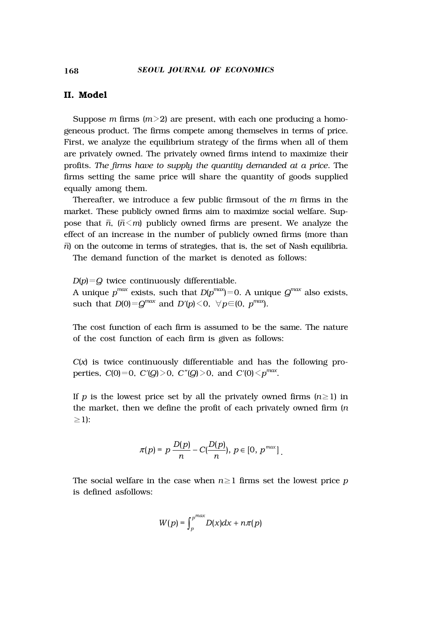## **II. Model**

Suppose *m* firms (*m*>2) are present, with each one producing a homogeneous product. The firms compete among themselves in terms of price. First, we analyze the equilibrium strategy of the firms when all of them are privately owned. The privately owned firms intend to maximize their profits. *The firms have to supply the quantity demanded at a price*. The firms setting the same price will share the quantity of goods supplied equally among them.

Thereafter, we introduce a few public firmsout of the *m* firms in the market. These publicly owned firms aim to maximize social welfare. Suppose that  $\bar{n}$ ,  $(\bar{n} \le m)$  publicly owned firms are present. We analyze the effect of an increase in the number of publicly owned firms (more than  $\bar{n}$  on the outcome in terms of strategies, that is, the set of Nash equilibria.

The demand function of the market is denoted as follows:

*D*(*p*)=*Q* twice continuously differentiable. A unique  $p^{max}$  exists, such that  $D(p^{max})=0$ . A unique  $Q^{max}$  also exists, such that  $D(0) = Q^{max}$  and  $D'(p) \leq 0$ ,  $\forall p \in (0, p^{max})$ .

The cost function of each firm is assumed to be the same. The nature of the cost function of each firm is given as follows:

*C*(*x*) is twice continuously differentiable and has the following properties,  $C(0)=0$ ,  $C'(Q)>0$ ,  $C''(Q)>0$ , and  $C'(0).$ 

If *p* is the lowest price set by all the privately owned firms  $(n\geq 1)$  in the market, then we define the profit of each privately owned firm (*n*  $\geq$ 1):

$$
\pi(p) = p \frac{D(p)}{n} - C(\frac{D(p)}{n}), p \in [0, p^{max}].
$$

The social welfare in the case when  $n \geq 1$  firms set the lowest price p is defined asfollows:

$$
W(p) = \int_{p}^{p^{max}} D(x) dx + n\pi(p)
$$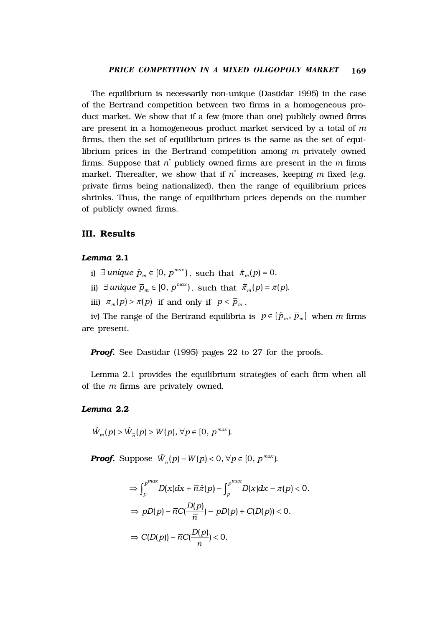The equilibrium is necessarily non-unique (Dastidar 1995) in the case of the Bertrand competition between two firms in a homogeneous product market. We show that if a few (more than one) publicly owned firms are present in a homogeneous product market serviced by a total of *m* firms, then the set of equilibrium prices is the same as the set of equilibrium prices in the Bertrand competition among *m* privately owned firms. Suppose that *n*\* publicly owned firms are present in the *m* firms market. Thereafter, we show that if *n*\* increases, keeping *m* fixed (*e.g*. private firms being nationalized), then the range of equilibrium prices shrinks. Thus, the range of equilibrium prices depends on the number of publicly owned firms.

## **III. Results**

### *Lemma* **2.1**

- i)  $\exists$  *unique*  $\hat{p}_m \in [0, p^{max})$ , such that  $\hat{\pi}_m(p) = 0$ .
- ii)  $\exists$  *unique*  $\overline{p}_m \in [0, p^{max})$ , such that  $\overline{\pi}_m(p) = \pi(p)$ .
- iii)  $\bar{\pi}_m(p) > \pi(p)$  if and only if  $p < \bar{p}_m$ .

iv) The range of the Bertrand equilibria is  $p \in [\hat{p}_m, \overline{p}_m]$  when *m* firms are present.

**Proof.** See Dastidar (1995) pages 22 to 27 for the proofs.

Lemma 2.1 provides the equilibrium strategies of each firm when all of the *m* firms are privately owned.

#### *Lemma* **2.2**

$$
\hat{W}_m(p) > \hat{W}_{\overline{n}}(p) > W(p), \,\forall p \in [0, p^{max}).
$$

*Proof.* Suppose  $\hat{W}_p(p) - W(p) < 0, \forall p \in [0, p^{max})$ .

$$
\Rightarrow \int_{p}^{p^{max}} D(x) dx + \overline{n} \hat{\pi}(p) - \int_{p}^{p^{max}} D(x) dx - \pi(p) < 0.
$$
  

$$
\Rightarrow pD(p) - \overline{n}C(\frac{D(p)}{\overline{n}}) - pD(p) + C(D(p)) < 0.
$$
  

$$
\Rightarrow C(D(p)) - \overline{n}C(\frac{D(p)}{\overline{n}}) < 0.
$$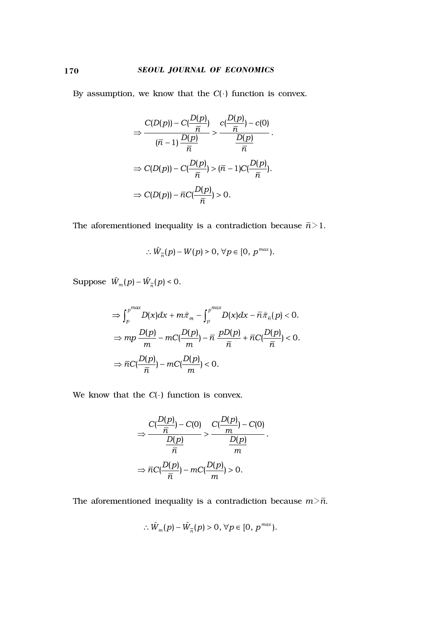By assumption, we know that the *C*( ) function is convex.

$$
\Rightarrow \frac{C(D(p)) - C(\frac{D(p)}{\overline{n}})}{(\overline{n} - 1)\frac{D(p)}{\overline{n}}} > \frac{c(\frac{D(p)}{\overline{n}}) - c(0)}{\frac{D(p)}{\overline{n}}}.
$$
\n
$$
\Rightarrow C(D(p)) - C(\frac{D(p)}{\overline{n}}) > (\overline{n} - 1)C(\frac{D(p)}{\overline{n}}).
$$
\n
$$
\Rightarrow C(D(p)) - \overline{n}C(\frac{D(p)}{\overline{n}}) > 0.
$$

The aforementioned inequality is a contradiction because  $\bar{n}{>}1.$ 

$$
\therefore \hat{W}_{\overline{n}}(p) - W(p) > 0, \forall p \in [0, p^{max}).
$$

Suppose  $\hat{W}_m(p) - \hat{W}_n(p) < 0$ .

$$
\Rightarrow \int_{p}^{p^{max}} D(x) dx + m\hat{\pi}_{m} - \int_{p}^{p^{max}} D(x) dx - \overline{n}\hat{\pi}_{\overline{n}}(p) < 0.
$$
  

$$
\Rightarrow mp \frac{D(p)}{m} - mC(\frac{D(p)}{m}) - \overline{n} \frac{pD(p)}{\overline{n}} + \overline{n}C(\frac{D(p)}{\overline{n}}) < 0.
$$
  

$$
\Rightarrow \overline{n}C(\frac{D(p)}{\overline{n}}) - mC(\frac{D(p)}{m}) < 0.
$$

We know that the  $C(\cdot)$  function is convex.

$$
\Rightarrow \frac{C\left(\frac{D(p)}{\overline{n}}\right) - C(0)}{\frac{D(p)}{\overline{n}}} > \frac{C\left(\frac{D(p)}{m}\right) - C(0)}{\frac{D(p)}{m}}.
$$
\n
$$
\Rightarrow \overline{n}C\left(\frac{D(p)}{\overline{n}}\right) - mC\left(\frac{D(p)}{m}\right) > 0.
$$

The aforementioned inequality is a contradiction because  $m > \bar{n}$ .

$$
\therefore \hat{W}_m(p) - \hat{W}_{\overline{n}}(p) > 0, \,\forall p \in [0, \, p^{max}).
$$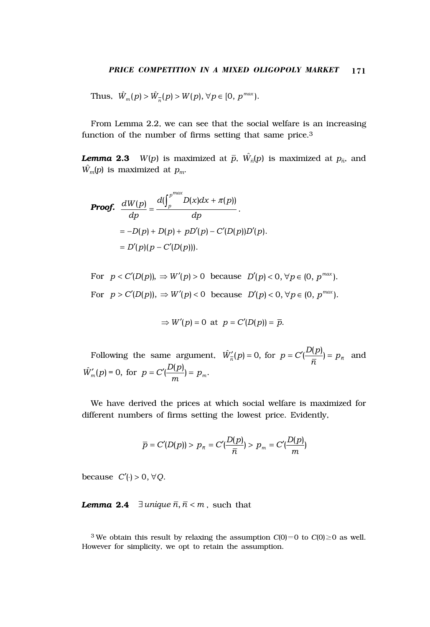Thus,  $\hat{W}_m(p) > \hat{W}_m(p) > W(p), \forall p \in [0, p^{max}).$ 

From Lemma 2.2, we can see that the social welfare is an increasing function of the number of firms setting that same price.3

*Lemma* **2.3** *W*(*p*) is maximized at  $\bar{p}$ ,  $\hat{W}_{\bar{n}}(p)$  is maximized at  $p_{\bar{n}}$ , and  $\hat{W}_m(p)$  is maximized at  $p_m$ .

**Proof.** 
$$
\frac{dW(p)}{dp} = \frac{d(\int_{p}^{p^{max}} D(x)dx + \pi(p))}{dp}.
$$

$$
= -D(p) + D(p) + pD'(p) - C'(D(p))D'(p).
$$

$$
= D'(p)(p - C'(D(p))).
$$

For  $p < C'(D(p))$ ,  $\Rightarrow W'(p) > 0$  because  $D'(p) < 0$ ,  $\forall p \in (0, p^{max})$ . For  $p > C'(D(p))$ ,  $\Rightarrow W'(p) < 0$  because  $D'(p) < 0$ ,  $\forall p \in (0, p^{max})$ .

$$
\Rightarrow W'(p) = 0 \text{ at } p = C'(D(p)) = \overline{p}.
$$

Following the same argument,  $\hat{W}'_{\overline{n}}(p) = 0$ , for  $p = C'(\frac{D(p)}{\overline{n}}) = p_{\overline{n}}$  and  $\hat{W}'_m(p) = 0$ , for  $p = C'(\frac{D(p)}{m}) = p_m$ .

We have derived the prices at which social welfare is maximized for different numbers of firms setting the lowest price. Evidently,

$$
\bar{p} = C'(D(p)) > p_{\bar{n}} = C'(\frac{D(p)}{\bar{n}}) > p_m = C'(\frac{D(p)}{m})
$$

because  $C'(\cdot) > 0, \forall Q$ .

*Lemma* 2.4  $\exists$  *unique*  $\overline{n}, \overline{n} < m$ , such that

<sup>3</sup> We obtain this result by relaxing the assumption  $C(0)=0$  to  $C(0)\geq 0$  as well. However for simplicity, we opt to retain the assumption.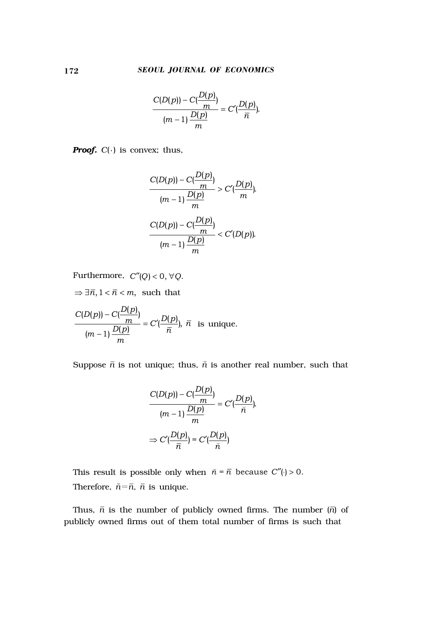$$
\frac{C(D(p))-C(\frac{D(p)}{m})}{(m-1)\frac{D(p)}{m}}=C'(\frac{D(p)}{\bar{n}}).
$$

*Proof. C*( ) is convex; thus,

$$
\frac{C(D(p))-C(\frac{D(p)}{m})}{(m-1)\frac{D(p)}{m}} > C'(\frac{D(p)}{m}).
$$
  

$$
\frac{C(D(p))-C(\frac{D(p)}{m})}{(m-1)\frac{D(p)}{m}} < C'(D(p)).
$$

Furthermore,  $C''(Q) < 0, \forall Q$ .

 $\Rightarrow \exists \bar{n}, 1 < \bar{n} < m$ , such that −  $= C'$  $\frac{C(D(p))-C(\frac{D(p)}{m})}{(m-1)\frac{D(p)}{m}}=C'(\frac{D(p)}{\overline{n}}), \bar{n}$ is unique.

Suppose  $\bar{n}$  is not unique; thus,  $\bar{n}$  is another real number, such that

$$
\frac{C(D(p)) - C(\frac{D(p)}{m})}{(m-1)\frac{D(p)}{m}} = C'(\frac{D(p)}{\tilde{n}}).
$$

$$
\Rightarrow C'(\frac{D(p)}{\tilde{n}}) = C'(\frac{D(p)}{\tilde{n}})
$$

This result is possible only when  $\bar{n} = \bar{n}$  because  $C''($   $) > 0$ . Therefore,  $\bar{n} = \bar{n}$ ,  $\bar{n}$  is unique.

Thus,  $\bar{n}$  is the number of publicly owned firms. The number  $(\bar{n})$  of publicly owned firms out of them total number of firms is such that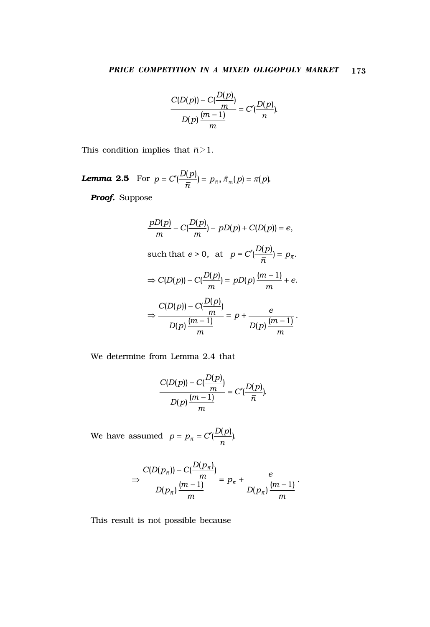$$
\frac{C(D(p))-C(\frac{D(p)}{m})}{D(p)\frac{(m-1)}{m}}=C'(\frac{D(p)}{\bar{n}}).
$$

This condition implies that  $\bar{n}$   $>$  1.

**Lemma 2.5** For 
$$
p = C'(\frac{D(p)}{\bar{n}}) = p_{\bar{n}}, \hat{\pi}_m(p) = \pi(p)
$$
.

*Proof.* Suppose

$$
\frac{pD(p)}{m} - C\left(\frac{D(p)}{m}\right) - pD(p) + C(D(p)) = e,
$$
  
such that  $e > 0$ , at  $p = C'\left(\frac{D(p)}{\overline{n}}\right) = p_{\overline{n}}$ .  

$$
\Rightarrow C(D(p)) - C\left(\frac{D(p)}{m}\right) = pD(p)\left(\frac{m-1}{m}\right) + e.
$$

$$
\Rightarrow \frac{C(D(p)) - C\left(\frac{D(p)}{m}\right)}{D(p)\left(\frac{m-1}{m}\right)} = p + \frac{e}{D(p)\left(\frac{m-1}{m}\right)}.
$$

We determine from Lemma 2.4 that

$$
\frac{C(D(p))-C(\frac{D(p)}{m})}{D(p)\frac{(m-1)}{m}}=C'(\frac{D(p)}{\bar{n}}).
$$

We have assumed  $p = p_{\overline{n}} = C' \left( \frac{D(p)}{\overline{n}} \right)$ .

$$
\Rightarrow \frac{C(D(p_{\overline{n}}))-C(\frac{D(p_{\overline{n}})}{m})}{D(p_{\overline{n}})\,\frac{(m-1)}{m}}=p_{\overline{n}}+\frac{e}{D(p_{\overline{n}})\,\frac{(m-1)}{m}}.
$$

This result is not possible because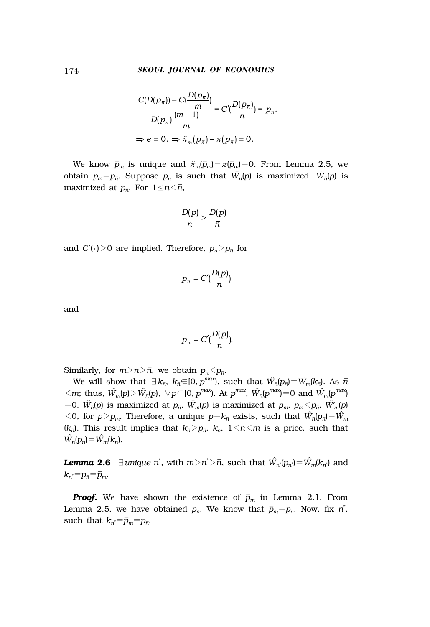$$
\frac{C(D(p_{\bar{n}}))-C(\frac{D(p_{\bar{n}})}{m})}{D(p_{\bar{n}})\frac{(m-1)}{m}}=C'(\frac{D(p_{\bar{n}})}{\bar{n}})=p_{\bar{n}}.
$$
  
\n
$$
\Rightarrow e=0. \Rightarrow \hat{\pi}_m(p_{\bar{n}})-\pi(p_{\bar{n}})=0.
$$

We know  $\bar{p}_m$  is unique and  $\hat{\pi}_m(\bar{p}_m) - \pi(\bar{p}_m) = 0$ . From Lemma 2.5, we obtain  $\bar{p}_m = p_{\bar{n}}$ . Suppose  $p_n$  is such that  $\hat{W_n}(p)$  is maximized.  $\hat{W_{\bar{n}}}(p)$  is maximized at  $p_{\bar{n}}$ . For  $1 \leq n \leq \bar{n}$ ,

$$
\frac{D(p)}{n} > \frac{D(p)}{\overline{n}}
$$

and  $C'(\cdot)$ >0 are implied. Therefore,  $p_n$ > $p_{\bar n}$  for

$$
p_n = C'(\frac{D(p)}{n})
$$

and

$$
{p}_{\overline{n}}=C'(\frac{D(p)}{\overline{n}}).
$$

Similarly, for  $m>n\bar{n}$ , we obtain  $p_n \leq p_{\bar{n}}$ .

We will show that  $\exists k_{\bar n}\ldotp k_{\bar n}\in ]0,p^{max}\rangle$ , such that  $\hat{W}_{\bar n}[p_{\bar n}\hat{}]=\hat{W}_{m}[k_{\bar n}\hat{}]$ . As  $\bar n$  $m \leq m$ ; thus,  $\hat{W}_m(p) > \hat{W}_n(p)$ ,  $\forall p \in [0, p^{max})$ . At  $p^{max}$ ,  $\hat{W}_n(p^{max}) = 0$  and  $\hat{W}_m(p^{max})$ =0.  $\hat{W_{\pi}}(p)$  is maximized at  $p_{\bar{n}}$ .  $\hat{W_{m}}(p)$  is maximized at  $p_{m}$ .  $p_{m}$ <  $p_{\bar{n}}$ .  $\hat{W_{m}}(p)$  $\leq$  0, for  $p > p_m$ . Therefore, a unique  $p = k_{\bar{n}}$  exists, such that  $\hat{W}_{\bar{n}}(p_{\bar{n}}) = \hat{W}_m$  $(k_{\bar{n}})$ . This result implies that  $k_{\bar{n}} > p_{\bar{n}}$ .  $k_n$ ,  $1 \leq n \leq m$  is a price, such that  $\hat{W}_n(p_n) = \hat{W}_m(k_n).$ 

*Lemma* **2.6**  $\exists$ *unique n*<sup>\*</sup>, with *m*>*n*<sup>\*</sup>>*n*̄, such that  $\hat{W}_{n}$ <sup>*'*</sup>( $p_{n}$ <sup>*÷*)</sup>= $\hat{W}_{m}$ ( $k_{n}$ <sup>*∗*</sup>)</sub> and  $k_{n}^* = p_{\bar{n}} = \bar{p}_m$ .

*Proof.* We have shown the existence of  $\bar{p}_m$  in Lemma 2.1. From Lemma 2.5, we have obtained  $p_{\bar{n}}$ . We know that  $\bar{p}_{m} = p_{\bar{n}}$ . Now, fix  $n^*$ , such that  $k_{n}$  =  $\bar{p}_m$ = $p_{\bar{n}}$ .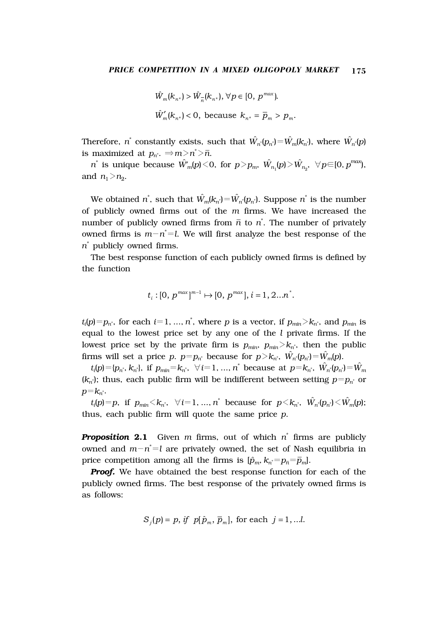$$
\hat{W}_m(k_{n^*}) > \hat{W}_{\overline{n}}(k_{n^*}), \,\forall p \in [0, \, p^{max}).
$$
  

$$
\hat{W}'_m(k_{n^*}) < 0, \text{ because } k_{n^*} = \overline{p}_m > p_m.
$$

Therefore, *n*<sup>\*</sup> constantly exists, such that  $\hat{W}_{n}$ <sup>*'*</sup>( $p_{n}$ <sup>\*</sup>)= $\hat{W}_{m}$ <sup>( $k_{n}$ \*), where  $\hat{W}_{n}$ <sup>\*</sup>( $p$ )</sup> is maximized at  $p_{n^*} \Rightarrow m > n^* > \bar{n}$ .

 $n^*$  is unique because  $\hat{W}_m'(p) \le 0$ , for  $p > p_m$ ,  $\hat{W}_{n_1}(p) > \hat{W}_{n_2}$ ,  $\forall p \in [0, p^{max})$ , and  $n_1 > n_2$ .

We obtained  $n^*$ , such that  $\hat{W}_m(k_{n^*}) = \hat{W}_{n^*}(p_{n^*})$ . Suppose  $n^*$  is the number of publicly owned firms out of the *m* firms. We have increased the number of publicly owned firms from  $\bar{n}$  to  $n^*$ . The number of privately owned firms is  $m - n^* = l$ . We will first analyze the best response of the *n*\* publicly owned firms.

The best response function of each publicly owned firms is defined by the function

$$
t_i:[0,\,p^{max}]^{m-1}\mapsto[0,\,p^{max}],\,i=1,\,2...n^*.
$$

 $t_i(p) = p_{n^*}$ , for each  $i = 1, ..., n^*$ , where *p* is a vector, if  $p_{min} > k_{n^*}$ , and  $p_{min}$  is equal to the lowest price set by any one of the *l* private firms. If the lowest price set by the private firm is  $p_{min}$ ,  $p_{min} > k_n$ , then the public firms will set a price *p*.  $p=p_{n^*}$  because for  $p > k_{n^*}$ ,  $\hat{W}_{n^*}(p_{n^*})=\hat{W}_{m}(p)$ .

 $t_i(p) = \{p_{n^*}, k_{n^*}\}\text{, if } p_{min} = k_{n^*}, \forall i = 1, ..., n^* \text{ because at } p = k_{n^*}, \hat{W}_{n^*}(p_{n^*}) = \hat{W}_{m}$  $(k_n^*)$ ; thus, each public firm will be indifferent between setting  $p=p_n^*$  or  $p = k_{n^*}.$ 

 $t_i(p) = p$ , if  $p_{min} < k_n$ ,  $\forall i = 1, ..., n^*$  because for  $p < k_n$ ,  $\hat{W}_{n^*}(p_n) < \hat{W}_{m}(p)$ ; thus, each public firm will quote the same price *p*.

*Proposition* **2.1** Given *m* firms, out of which *n*\* firms are publicly owned and *m*-*n*\* =*l* are privately owned, the set of Nash equilibria in price competition among all the firms is  $[\hat{p}_m, k_{n^*} = p_{\bar{n}} = \bar{p}_m]$ .

*Proof.* We have obtained the best response function for each of the publicly owned firms. The best response of the privately owned firms is as follows:

$$
S_j(p) = p, \text{ if } p[\hat{p}_m, \overline{p}_m], \text{ for each } j = 1, \dots l.
$$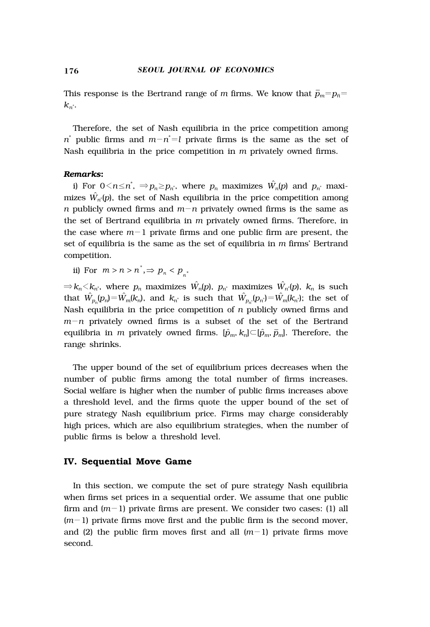This response is the Bertrand range of *m* firms. We know that  $\bar{p}_{m}$ = $p_{\bar{n}}$ =  $k_{n^*}$ .

Therefore, the set of Nash equilibria in the price competition among  $n^*$  public firms and  $m - n^* = l$  private firms is the same as the set of Nash equilibria in the price competition in *m* privately owned firms.

#### *Remarks***:**

i) For  $0 \le n \le n$ <sup>\*</sup>,  $\Rightarrow p_n \ge p_{n}$ \*, where  $p_n$  maximizes  $\hat{W_n}(p)$  and  $p_{n}$ \* maximizes  $\hat{W_{n^{\prime }}}[p],$  the set of Nash equilibria in the price competition among *n* publicly owned firms and  $m-n$  privately owned firms is the same as the set of Bertrand equilibria in *m* privately owned firms. Therefore, in the case where  $m-1$  private firms and one public firm are present, the set of equilibria is the same as the set of equilibria in *m* firms' Bertrand competition.

ii) For  $m > n > n^*$ ,  $\Rightarrow p_n < p_{n^*}$ 

 $\Rightarrow$   $k_n$ < $k_n$ <sup>\*</sup>, where  $p_n$  maximizes  $\hat{W_n}(p)$ ,  $p_{n^*}$  maximizes  $\hat{W_n}(p)$ ,  $k_n$  is such that  $\hat{W}_{p_n}(p_n) = \hat{W}_m(k_n)$ , and  $k_n$ <sup>\*</sup> is such that  $\hat{W}_{p_n}(p_n) = \hat{W}_m(k_n)$ ; the set of Nash equilibria in the price competition of *n* publicly owned firms and *m*-*n* privately owned firms is a subset of the set of the Bertrand equilibria in *m* privately owned firms. [ $\hat{p}_m$ ,  $k_n$ ] $\subset$ [ $\hat{p}_m$ ,  $\bar{p}_m$ ]. Therefore, the range shrinks.

The upper bound of the set of equilibrium prices decreases when the number of public firms among the total number of firms increases. Social welfare is higher when the number of public firms increases above a threshold level, and the firms quote the upper bound of the set of pure strategy Nash equilibrium price. Firms may charge considerably high prices, which are also equilibrium strategies, when the number of public firms is below a threshold level.

## **IV. Sequential Move Game**

In this section, we compute the set of pure strategy Nash equilibria when firms set prices in a sequential order. We assume that one public firm and  $(m-1)$  private firms are present. We consider two cases: (1) all  $(m-1)$  private firms move first and the public firm is the second mover, and (2) the public firm moves first and all  $(m-1)$  private firms move second.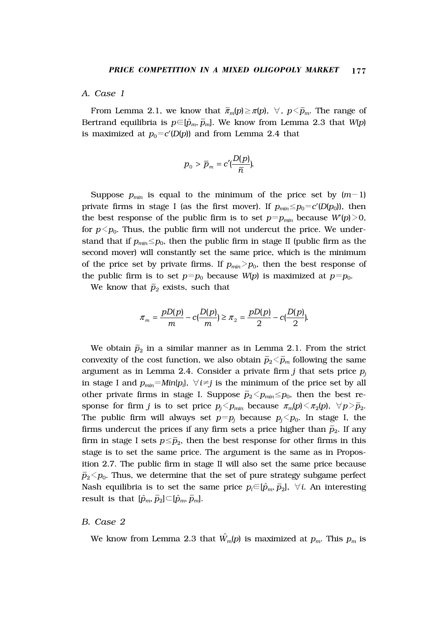#### *A. Case 1*

From Lemma 2.1, we know that  $\bar{\pi}_m(p) \geq \pi(p)$ ,  $\forall$ ,  $p \leq \bar{p}_m$ . The range of Bertrand equilibria is  $p \in [\hat{p}_m, \bar{p}_m]$ . We know from Lemma 2.3 that *W(p)* is maximized at  $p_0 = c'(D(p))$  and from Lemma 2.4 that

$$
{p^{}_0} > {\overline p^{}_m} = c'(\frac{D(p)}{\overline n}).
$$

Suppose  $p_{min}$  is equal to the minimum of the price set by  $(m-1)$ private firms in stage I (as the first mover). If  $p_{min} \leq p_0 = c'(D(p_0))$ , then the best response of the public firm is to set  $p=p_{min}$  because  $W'(p) \geq 0$ , for  $p \leq p_0$ . Thus, the public firm will not undercut the price. We understand that if  $p_{min} \leq p_0$ , then the public firm in stage II (public firm as the second mover) will constantly set the same price, which is the minimum of the price set by private firms. If  $p_{min} > p_0$ , then the best response of the public firm is to set  $p=p_0$  because  $W(p)$  is maximized at  $p=p_0$ .

We know that  $\bar{p}_2$  exists, such that

$$
\pi_m = \frac{pD(p)}{m} - c\left(\frac{D(p)}{m}\right) \ge \pi_{2} = \frac{pD(p)}{2} - c\left(\frac{D(p)}{2}\right).
$$

We obtain  $\bar{p}_2$  in a similar manner as in Lemma 2.1. From the strict convexity of the cost function, we also obtain  $\bar{p}_2 \lessdot \bar{p}_m$  following the same argument as in Lemma 2.4. Consider a private firm  $j$  that sets price  $p_j$ in stage I and  $p_{\textit{min}} = Min\{p_i\}, \ \forall \, i \neq j$  is the minimum of the price set by all other private firms in stage I. Suppose  $\bar p_2$  <  $p_{\textit{min}}$  ≤  $p_0$ , then the best response for firm *j* is to set price  $p_j$   $\leq$   $p_{min}$  because  $\pi_m(p)$   $\leq$   $\pi_2(p)$ ,  $\forall$   $p$   $\geq$   $\bar{p}_2$ . The public firm will always set  $p=p_j$  because  $p_j$  op. In stage I, the firms undercut the prices if any firm sets a price higher than  $\bar{p}_2$ . If any firm in stage I sets  $p \leq \bar{p}_2$ , then the best response for other firms in this stage is to set the same price. The argument is the same as in Proposition 2.7. The public firm in stage II will also set the same price because  $\bar{p}_2$  $<$  $p_0$ . Thus, we determine that the set of pure strategy subgame perfect Nash equilibria is to set the same price  $p_i{\in}[\hat{p}_m,\bar{p}_2]$ ,  $\forall\,i$ . An interesting result is that  $[\hat{p}_m, \overline{p}_2] \subset [\hat{p}_m, \overline{p}_m]$ .

## *B. Case 2*

We know from Lemma 2.3 that  $\hat{W}_m(p)$  is maximized at  $p_m$ . This  $p_m$  is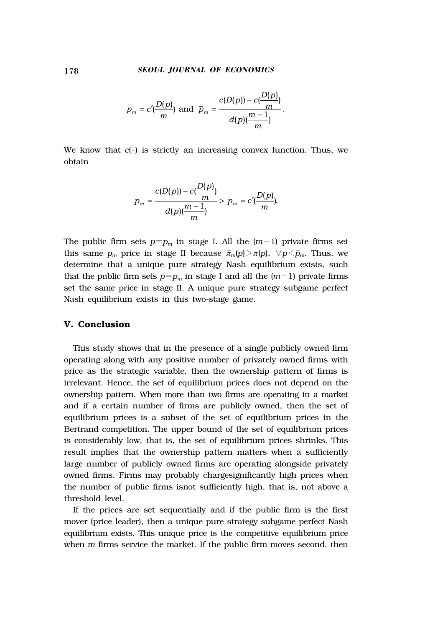$$
p_m = c'(\frac{D(p)}{m})
$$
 and  $\bar{p}_m = \frac{c(D(p)) - c(\frac{D(p)}{m})}{d(p)(\frac{m-1}{m})}$ .

We know that  $c(\cdot)$  is strictly an increasing convex function. Thus, we obtain

$$
\overline{p}_m = \frac{c(D(p)) - c\left(\frac{D(p)}{m}\right)}{d(p)\left(\frac{m-1}{m}\right)} > p_m = c'\left(\frac{D(p)}{m}\right).
$$

The public firm sets  $p=p_m$  in stage I. All the  $(m-1)$  private firms set this same  $p_m$  price in stage II because  $\bar{\pi}_m(p) > \pi(p)$ ,  $\forall p < \bar{p}_m$ . Thus, we determine that a unique pure strategy Nash equilibrium exists, such that the public firm sets  $p=p_m$  in stage I and all the  $(m-1)$  private firms set the same price in stage II. A unique pure strategy subgame perfect Nash equilibrium exists in this two-stage game.

## **V. Conclusion**

This study shows that in the presence of a single publicly owned firm operating along with any positive number of privately owned firms with price as the strategic variable, then the ownership pattern of firms is irrelevant. Hence, the set of equilibrium prices does not depend on the ownership pattern. When more than two firms are operating in a market and if a certain number of firms are publicly owned, then the set of equilibrium prices is a subset of the set of equilibrium prices in the Bertrand competition. The upper bound of the set of equilibrium prices is considerably low, that is, the set of equilibrium prices shrinks. This result implies that the ownership pattern matters when a sufficiently large number of publicly owned firms are operating alongside privately owned firms. Firms may probably chargesignificantly high prices when the number of public firms isnot sufficiently high, that is, not above a threshold level.

If the prices are set sequentially and if the public firm is the first mover (price leader), then a unique pure strategy subgame perfect Nash equilibrium exists. This unique price is the competitive equilibrium price when *m* firms service the market. If the public firm moves second, then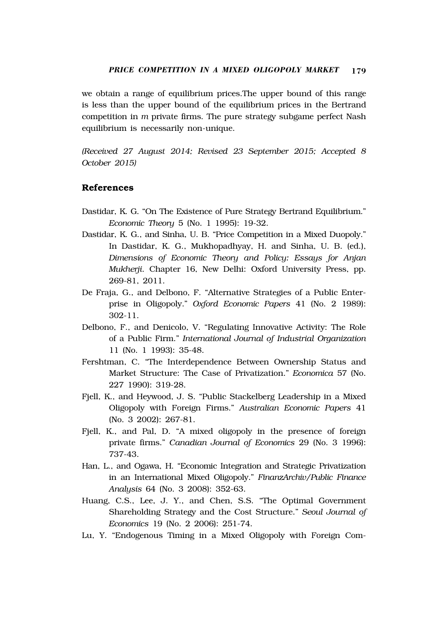we obtain a range of equilibrium prices.The upper bound of this range is less than the upper bound of the equilibrium prices in the Bertrand competition in *m* private firms. The pure strategy subgame perfect Nash equilibrium is necessarily non-unique.

*(Received 27 August 2014; Revised 23 September 2015; Accepted 8 October 2015)*

## **References**

- Dastidar, K. G. "On The Existence of Pure Strategy Bertrand Equilibrium." *Economic Theory* 5 (No. 1 1995): 19-32.
- Dastidar, K. G., and Sinha, U. B. "Price Competition in a Mixed Duopoly." In Dastidar, K. G., Mukhopadhyay, H. and Sinha, U. B. (ed.), *Dimensions of Economic Theory and Policy: Essays for Anjan Mukherji*. Chapter 16, New Delhi: Oxford University Press, pp. 269-81, 2011.
- De Fraja, G., and Delbono, F. "Alternative Strategies of a Public Enterprise in Oligopoly." *Oxford Economic Papers* 41 (No. 2 1989): 302-11.
- Delbono, F., and Denicolo, V. "Regulating Innovative Activity: The Role of a Public Firm." *International Journal of Industrial Organization* 11 (No. 1 1993): 35-48.
- Fershtman, C. "The Interdependence Between Ownership Status and Market Structure: The Case of Privatization." *Economica* 57 (No. 227 1990): 319-28.
- Fjell, K., and Heywood, J. S. "Public Stackelberg Leadership in a Mixed Oligopoly with Foreign Firms." *Australian Economic Papers* 41 (No. 3 2002): 267-81.
- Fjell, K., and Pal, D. "A mixed oligopoly in the presence of foreign private firms." *Canadian Journal of Economics* 29 (No. 3 1996): 737-43.
- Han, L., and Ogawa, H. "Economic Integration and Strategic Privatization in an International Mixed Oligopoly." *FinanzArchiv/Public Finance Analysis* 64 (No. 3 2008): 352-63.
- Huang, C.S., Lee, J. Y., and Chen, S.S. "The Optimal Government Shareholding Strategy and the Cost Structure." *Seoul Journal of Economics* 19 (No. 2 2006): 251-74.
- Lu, Y. "Endogenous Timing in a Mixed Oligopoly with Foreign Com-